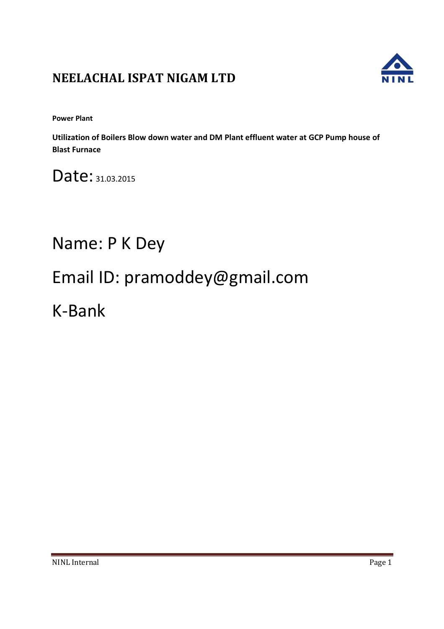## **NEELACHAL ISPAT NIGAM LTD**



**Power Plant** 

**Utilization of Boilers Blow down water and DM Plant effluent water at GCP Pump house of Blast Furnace** 

Date: 31.03.2015

# Name: P K Dey

# Email ID: pramoddey@gmail.com

K-Bank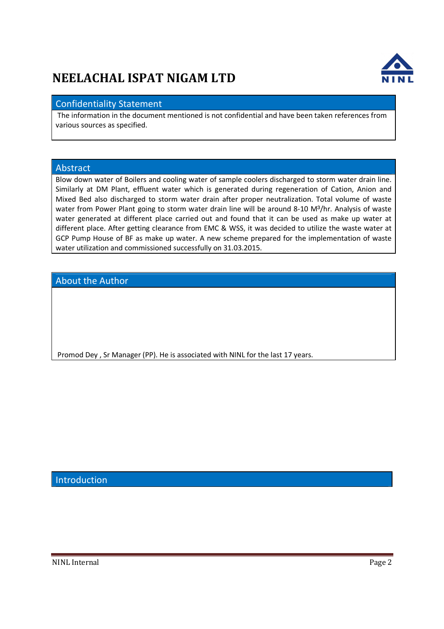## **NEELACHAL ISPAT NIGAM LTD**



### Confidentiality Statement

The information in the document mentioned is not confidential and have been taken references from various sources as specified.

#### Abstract

Blow down water of Boilers and cooling water of sample coolers discharged to storm water drain line. Similarly at DM Plant, effluent water which is generated during regeneration of Cation, Anion and Mixed Bed also discharged to storm water drain after proper neutralization. Total volume of waste water from Power Plant going to storm water drain line will be around 8-10 M<sup>3</sup>/hr. Analysis of waste water generated at different place carried out and found that it can be used as make up water at different place. After getting clearance from EMC & WSS, it was decided to utilize the waste water at GCP Pump House of BF as make up water. A new scheme prepared for the implementation of waste water utilization and commissioned successfully on 31.03.2015.

### **About the Author**

Promod Dey , Sr Manager (PP). He is associated with NINL for the last 17 years.

Introduction